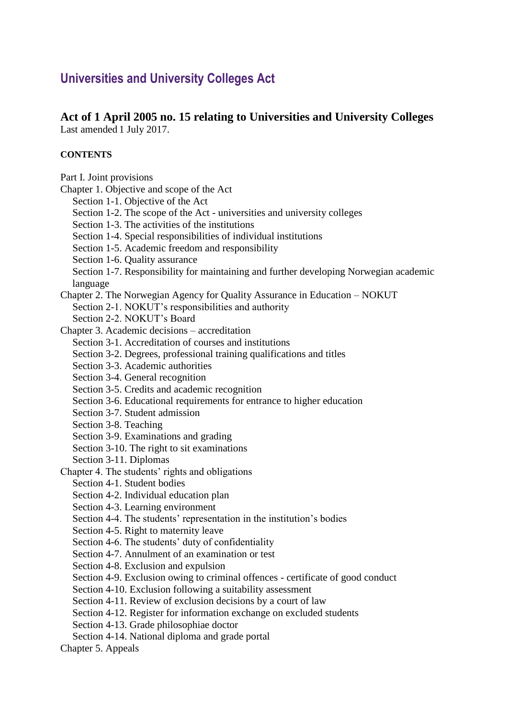## **Universities and University Colleges Act**

# **Act of 1 April 2005 no. 15 relating to Universities and University Colleges**

Last amended 1 July 2017.

#### **CONTENTS**

- Part I. Joint provisions
- Chapter 1. Objective and scope of the Act
	- Section 1-1. Objective of the Act
	- Section 1-2. The scope of the Act universities and university colleges
	- Section 1-3. The activities of the institutions
	- Section 1-4. Special responsibilities of individual institutions
	- Section 1-5. Academic freedom and responsibility
	- Section 1-6. Quality assurance
	- Section 1-7. Responsibility for maintaining and further developing Norwegian academic language
- Chapter 2. The Norwegian Agency for Quality Assurance in Education NOKUT
	- Section 2-1. NOKUT's responsibilities and authority
	- Section 2-2. NOKUT's Board
- Chapter 3. Academic decisions accreditation
	- Section 3-1. Accreditation of courses and institutions
	- Section 3-2. Degrees, professional training qualifications and titles
	- Section 3-3. Academic authorities
	- Section 3-4. General recognition
	- Section 3-5. Credits and academic recognition
	- Section 3-6. Educational requirements for entrance to higher education
	- Section 3-7. Student admission
	- Section 3-8. Teaching
	- Section 3-9. Examinations and grading
	- Section 3-10. The right to sit examinations
	- Section 3-11. Diplomas
- Chapter 4. The students' rights and obligations
	- Section 4-1. Student bodies
	- Section 4-2. Individual education plan
	- Section 4-3. Learning environment
	- Section 4-4. The students' representation in the institution's bodies
	- Section 4-5. Right to maternity leave
	- Section 4-6. The students' duty of confidentiality
	- Section 4-7. Annulment of an examination or test
	- Section 4-8. Exclusion and expulsion
	- Section 4-9. Exclusion owing to criminal offences certificate of good conduct
	- Section 4-10. Exclusion following a suitability assessment
	- Section 4-11. Review of exclusion decisions by a court of law
	- Section 4-12. Register for information exchange on excluded students
	- Section 4-13. Grade philosophiae doctor
	- Section 4-14. National diploma and grade portal
- Chapter 5. Appeals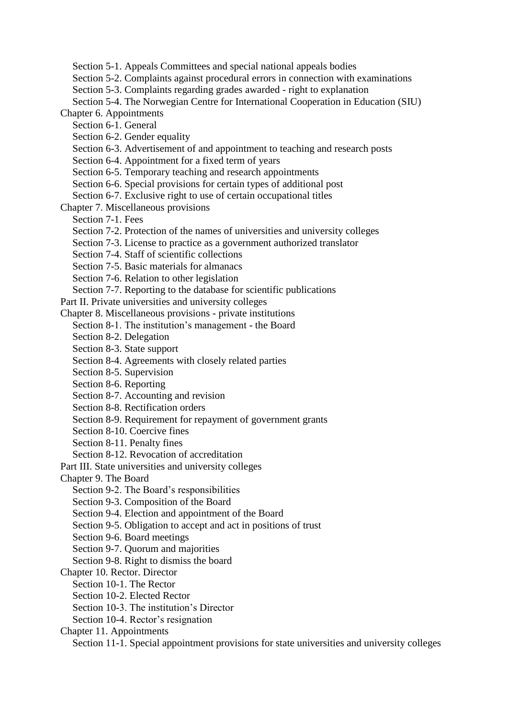Section 5-1. Appeals Committees and special national appeals bodies

Section 5-2. Complaints against procedural errors in connection with examinations

Section 5-3. Complaints regarding grades awarded - right to explanation

Section 5-4. The Norwegian Centre for International Cooperation in Education (SIU)

Chapter 6. Appointments

Section 6-1. General

Section 6-2. Gender equality

Section 6-3. Advertisement of and appointment to teaching and research posts

Section 6-4. Appointment for a fixed term of years

Section 6-5. Temporary teaching and research appointments

Section 6-6. Special provisions for certain types of additional post

Section 6-7. Exclusive right to use of certain occupational titles

Chapter 7. Miscellaneous provisions

Section 7-1. Fees

Section 7-2. Protection of the names of universities and university colleges

Section 7-3. License to practice as a government authorized translator

Section 7-4. Staff of scientific collections

Section 7-5. Basic materials for almanacs

Section 7-6. Relation to other legislation

Section 7-7. Reporting to the database for scientific publications

Part II. Private universities and university colleges

Chapter 8. Miscellaneous provisions - private institutions

Section 8-1. The institution's management - the Board

Section 8-2. Delegation

Section 8-3. State support

Section 8-4. Agreements with closely related parties

Section 8-5. Supervision

Section 8-6. Reporting

Section 8-7. Accounting and revision

Section 8-8. Rectification orders

Section 8-9. Requirement for repayment of government grants

Section 8-10. Coercive fines

Section 8-11. Penalty fines

Section 8-12. Revocation of accreditation

Part III. State universities and university colleges

Chapter 9. The Board

Section 9-2. The Board's responsibilities

Section 9-3. Composition of the Board

Section 9-4. Election and appointment of the Board

Section 9-5. Obligation to accept and act in positions of trust

Section 9-6. Board meetings

Section 9-7. Quorum and majorities

Section 9-8. Right to dismiss the board

Chapter 10. Rector. Director

Section 10-1. The Rector

Section 10-2. Elected Rector

Section 10-3. The institution's Director

Section 10-4. Rector's resignation

Chapter 11. Appointments

Section 11-1. Special appointment provisions for state universities and university colleges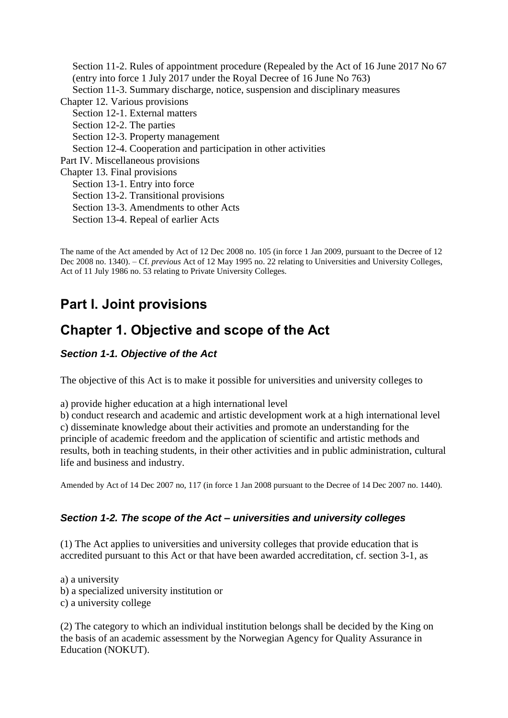Section 11-2. Rules of appointment procedure (Repealed by the Act of 16 June 2017 No 67 (entry into force 1 July 2017 under the Royal Decree of 16 June No 763) Section 11-3. Summary discharge, notice, suspension and disciplinary measures Chapter 12. Various provisions Section 12-1. External matters Section 12-2. The parties Section 12-3. Property management Section 12-4. Cooperation and participation in other activities Part IV. Miscellaneous provisions Chapter 13. Final provisions Section 13-1. Entry into force Section 13-2. Transitional provisions Section 13-3. Amendments to other Acts Section 13-4. Repeal of earlier Acts

The name of the Act amended by Act of 12 Dec 2008 no. 105 (in force 1 Jan 2009, pursuant to the Decree of 12 Dec 2008 no. 1340). – Cf. *previous* Act of 12 May 1995 no. 22 relating to Universities and University Colleges, Act of 11 July 1986 no. 53 relating to Private University Colleges.

# **Part I. Joint provisions**

# **Chapter 1. Objective and scope of the Act**

## *Section 1-1. Objective of the Act*

The objective of this Act is to make it possible for universities and university colleges to

a) provide higher education at a high international level

b) conduct research and academic and artistic development work at a high international level c) disseminate knowledge about their activities and promote an understanding for the principle of academic freedom and the application of scientific and artistic methods and results, both in teaching students, in their other activities and in public administration, cultural life and business and industry.

Amended by Act of 14 Dec 2007 no, 117 (in force 1 Jan 2008 pursuant to the Decree of 14 Dec 2007 no. 1440).

### *Section 1-2. The scope of the Act – universities and university colleges*

(1) The Act applies to universities and university colleges that provide education that is accredited pursuant to this Act or that have been awarded accreditation, cf. section 3-1, as

a) a university b) a specialized university institution or c) a university college

(2) The category to which an individual institution belongs shall be decided by the King on the basis of an academic assessment by the Norwegian Agency for Quality Assurance in Education (NOKUT).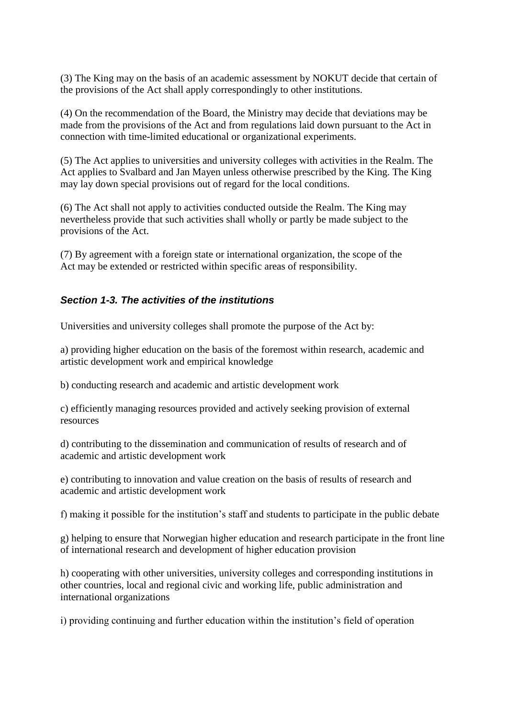(3) The King may on the basis of an academic assessment by NOKUT decide that certain of the provisions of the Act shall apply correspondingly to other institutions.

(4) On the recommendation of the Board, the Ministry may decide that deviations may be made from the provisions of the Act and from regulations laid down pursuant to the Act in connection with time-limited educational or organizational experiments.

(5) The Act applies to universities and university colleges with activities in the Realm. The Act applies to Svalbard and Jan Mayen unless otherwise prescribed by the King. The King may lay down special provisions out of regard for the local conditions.

(6) The Act shall not apply to activities conducted outside the Realm. The King may nevertheless provide that such activities shall wholly or partly be made subject to the provisions of the Act.

(7) By agreement with a foreign state or international organization, the scope of the Act may be extended or restricted within specific areas of responsibility.

### *Section 1-3. The activities of the institutions*

Universities and university colleges shall promote the purpose of the Act by:

a) providing higher education on the basis of the foremost within research, academic and artistic development work and empirical knowledge

b) conducting research and academic and artistic development work

c) efficiently managing resources provided and actively seeking provision of external resources

d) contributing to the dissemination and communication of results of research and of academic and artistic development work

e) contributing to innovation and value creation on the basis of results of research and academic and artistic development work

f) making it possible for the institution's staff and students to participate in the public debate

g) helping to ensure that Norwegian higher education and research participate in the front line of international research and development of higher education provision

h) cooperating with other universities, university colleges and corresponding institutions in other countries, local and regional civic and working life, public administration and international organizations

i) providing continuing and further education within the institution's field of operation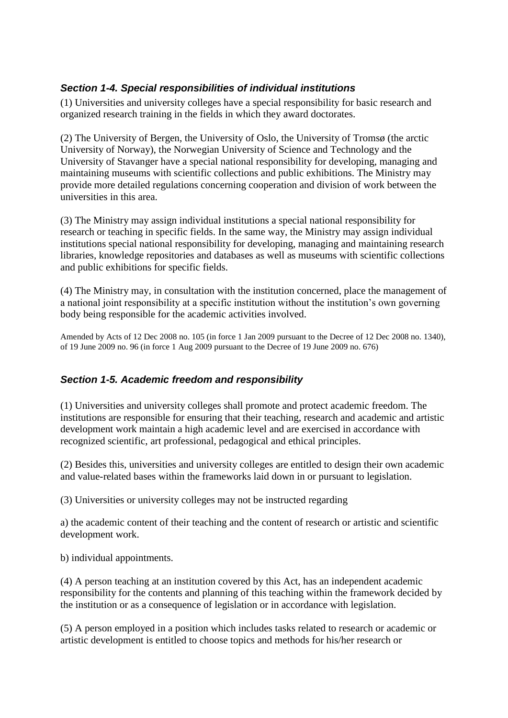## *Section 1-4. Special responsibilities of individual institutions*

(1) Universities and university colleges have a special responsibility for basic research and organized research training in the fields in which they award doctorates.

(2) The University of Bergen, the University of Oslo, the University of Tromsø (the arctic University of Norway), the Norwegian University of Science and Technology and the University of Stavanger have a special national responsibility for developing, managing and maintaining museums with scientific collections and public exhibitions. The Ministry may provide more detailed regulations concerning cooperation and division of work between the universities in this area.

(3) The Ministry may assign individual institutions a special national responsibility for research or teaching in specific fields. In the same way, the Ministry may assign individual institutions special national responsibility for developing, managing and maintaining research libraries, knowledge repositories and databases as well as museums with scientific collections and public exhibitions for specific fields.

(4) The Ministry may, in consultation with the institution concerned, place the management of a national joint responsibility at a specific institution without the institution's own governing body being responsible for the academic activities involved.

Amended by Acts of 12 Dec 2008 no. 105 (in force 1 Jan 2009 pursuant to the Decree of 12 Dec 2008 no. 1340), of 19 June 2009 no. 96 (in force 1 Aug 2009 pursuant to the Decree of 19 June 2009 no. 676)

### *Section 1-5. Academic freedom and responsibility*

(1) Universities and university colleges shall promote and protect academic freedom. The institutions are responsible for ensuring that their teaching, research and academic and artistic development work maintain a high academic level and are exercised in accordance with recognized scientific, art professional, pedagogical and ethical principles.

(2) Besides this, universities and university colleges are entitled to design their own academic and value-related bases within the frameworks laid down in or pursuant to legislation.

(3) Universities or university colleges may not be instructed regarding

a) the academic content of their teaching and the content of research or artistic and scientific development work.

b) individual appointments.

(4) A person teaching at an institution covered by this Act, has an independent academic responsibility for the contents and planning of this teaching within the framework decided by the institution or as a consequence of legislation or in accordance with legislation.

(5) A person employed in a position which includes tasks related to research or academic or artistic development is entitled to choose topics and methods for his/her research or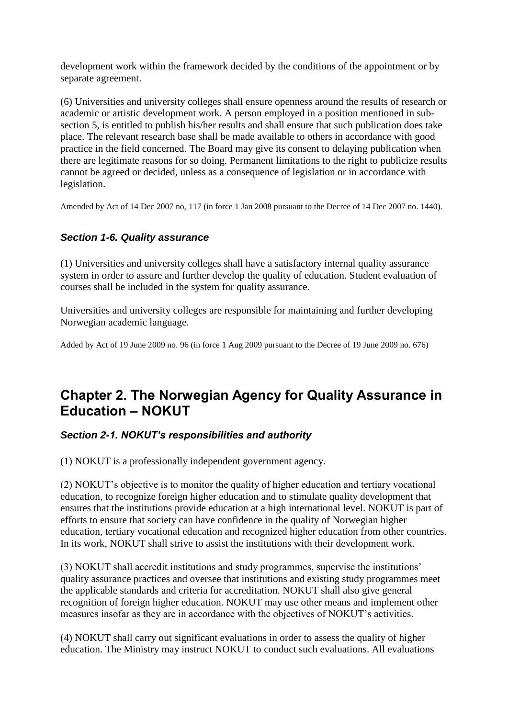development work within the framework decided by the conditions of the appointment or by separate agreement.

(6) Universities and university colleges shall ensure openness around the results of research or academic or artistic development work. A person employed in a position mentioned in subsection 5, is entitled to publish his/her results and shall ensure that such publication does take place. The relevant research base shall be made available to others in accordance with good practice in the field concerned. The Board may give its consent to delaying publication when there are legitimate reasons for so doing. Permanent limitations to the right to publicize results cannot be agreed or decided, unless as a consequence of legislation or in accordance with legislation.

Amended by Act of 14 Dec 2007 no, 117 (in force 1 Jan 2008 pursuant to the Decree of 14 Dec 2007 no. 1440).

### *Section 1-6. Quality assurance*

(1) Universities and university colleges shall have a satisfactory internal quality assurance system in order to assure and further develop the quality of education. Student evaluation of courses shall be included in the system for quality assurance.

Universities and university colleges are responsible for maintaining and further developing Norwegian academic language.

Added by Act of 19 June 2009 no. 96 (in force 1 Aug 2009 pursuant to the Decree of 19 June 2009 no. 676)

# **Chapter 2. The Norwegian Agency for Quality Assurance in Education – NOKUT**

#### *Section 2-1. NOKUT's responsibilities and authority*

(1) NOKUT is a professionally independent government agency.

(2) NOKUT's objective is to monitor the quality of higher education and tertiary vocational education, to recognize foreign higher education and to stimulate quality development that ensures that the institutions provide education at a high international level. NOKUT is part of efforts to ensure that society can have confidence in the quality of Norwegian higher education, tertiary vocational education and recognized higher education from other countries. In its work, NOKUT shall strive to assist the institutions with their development work.

(3) NOKUT shall accredit institutions and study programmes, supervise the institutions' quality assurance practices and oversee that institutions and existing study programmes meet the applicable standards and criteria for accreditation. NOKUT shall also give general recognition of foreign higher education. NOKUT may use other means and implement other measures insofar as they are in accordance with the objectives of NOKUT's activities.

(4) NOKUT shall carry out significant evaluations in order to assess the quality of higher education. The Ministry may instruct NOKUT to conduct such evaluations. All evaluations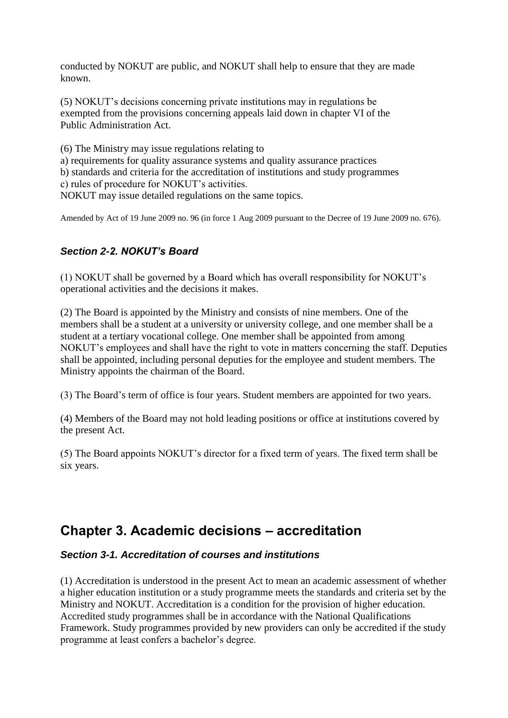conducted by NOKUT are public, and NOKUT shall help to ensure that they are made known.

(5) NOKUT's decisions concerning private institutions may in regulations be exempted from the provisions concerning appeals laid down in chapter VI of the Public Administration Act.

(6) The Ministry may issue regulations relating to a) requirements for quality assurance systems and quality assurance practices b) standards and criteria for the accreditation of institutions and study programmes c) rules of procedure for NOKUT's activities. NOKUT may issue detailed regulations on the same topics.

Amended by Act of 19 June 2009 no. 96 (in force 1 Aug 2009 pursuant to the Decree of 19 June 2009 no. 676).

#### *Section 2-2. NOKUT's Board*

(1) NOKUT shall be governed by a Board which has overall responsibility for NOKUT's operational activities and the decisions it makes.

(2) The Board is appointed by the Ministry and consists of nine members. One of the members shall be a student at a university or university college, and one member shall be a student at a tertiary vocational college. One member shall be appointed from among NOKUT's employees and shall have the right to vote in matters concerning the staff. Deputies shall be appointed, including personal deputies for the employee and student members. The Ministry appoints the chairman of the Board.

(3) The Board's term of office is four years. Student members are appointed for two years.

(4) Members of the Board may not hold leading positions or office at institutions covered by the present Act.

(5) The Board appoints NOKUT's director for a fixed term of years. The fixed term shall be six years.

# **Chapter 3. Academic decisions – accreditation**

#### *Section 3-1. Accreditation of courses and institutions*

(1) Accreditation is understood in the present Act to mean an academic assessment of whether a higher education institution or a study programme meets the standards and criteria set by the Ministry and NOKUT. Accreditation is a condition for the provision of higher education. Accredited study programmes shall be in accordance with the National Qualifications Framework. Study programmes provided by new providers can only be accredited if the study programme at least confers a bachelor's degree.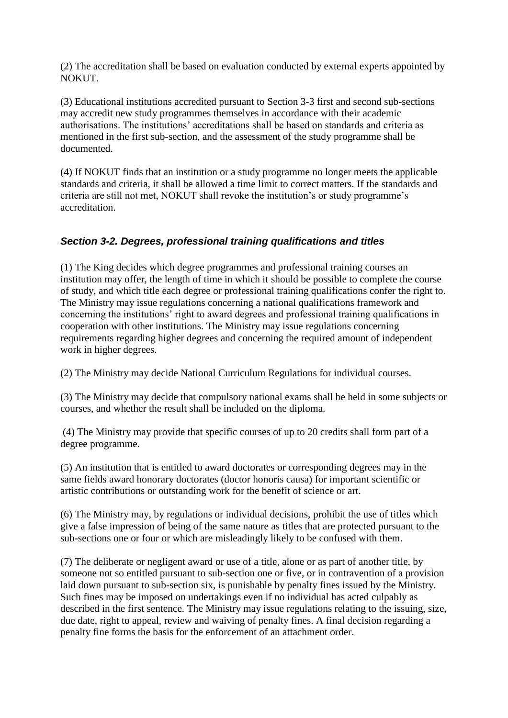(2) The accreditation shall be based on evaluation conducted by external experts appointed by NOKUT.

(3) Educational institutions accredited pursuant to Section 3-3 first and second sub-sections may accredit new study programmes themselves in accordance with their academic authorisations. The institutions' accreditations shall be based on standards and criteria as mentioned in the first sub-section, and the assessment of the study programme shall be documented.

(4) If NOKUT finds that an institution or a study programme no longer meets the applicable standards and criteria, it shall be allowed a time limit to correct matters. If the standards and criteria are still not met, NOKUT shall revoke the institution's or study programme's accreditation.

### *Section 3-2. Degrees, professional training qualifications and titles*

(1) The King decides which degree programmes and professional training courses an institution may offer, the length of time in which it should be possible to complete the course of study, and which title each degree or professional training qualifications confer the right to. The Ministry may issue regulations concerning a national qualifications framework and concerning the institutions' right to award degrees and professional training qualifications in cooperation with other institutions. The Ministry may issue regulations concerning requirements regarding higher degrees and concerning the required amount of independent work in higher degrees.

(2) The Ministry may decide National Curriculum Regulations for individual courses.

(3) The Ministry may decide that compulsory national exams shall be held in some subjects or courses, and whether the result shall be included on the diploma.

(4) The Ministry may provide that specific courses of up to 20 credits shall form part of a degree programme.

(5) An institution that is entitled to award doctorates or corresponding degrees may in the same fields award honorary doctorates (doctor honoris causa) for important scientific or artistic contributions or outstanding work for the benefit of science or art.

(6) The Ministry may, by regulations or individual decisions, prohibit the use of titles which give a false impression of being of the same nature as titles that are protected pursuant to the sub-sections one or four or which are misleadingly likely to be confused with them.

(7) The deliberate or negligent award or use of a title, alone or as part of another title, by someone not so entitled pursuant to sub-section one or five, or in contravention of a provision laid down pursuant to sub-section six, is punishable by penalty fines issued by the Ministry. Such fines may be imposed on undertakings even if no individual has acted culpably as described in the first sentence. The Ministry may issue regulations relating to the issuing, size, due date, right to appeal, review and waiving of penalty fines. A final decision regarding a penalty fine forms the basis for the enforcement of an attachment order.